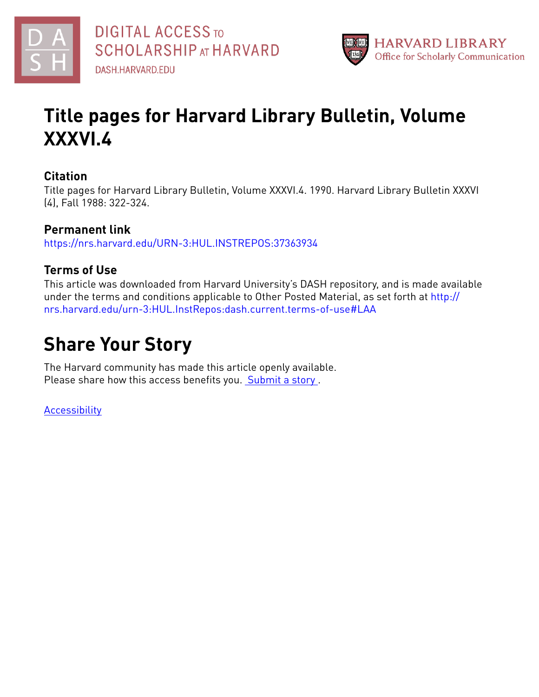



## **Title pages for Harvard Library Bulletin, Volume XXXVI.4**

#### **Citation**

Title pages for Harvard Library Bulletin, Volume XXXVI.4. 1990. Harvard Library Bulletin XXXVI (4), Fall 1988: 322-324.

## **Permanent link**

<https://nrs.harvard.edu/URN-3:HUL.INSTREPOS:37363934>

## **Terms of Use**

This article was downloaded from Harvard University's DASH repository, and is made available under the terms and conditions applicable to Other Posted Material, as set forth at [http://](http://nrs.harvard.edu/urn-3:HUL.InstRepos:dash.current.terms-of-use#LAA) [nrs.harvard.edu/urn-3:HUL.InstRepos:dash.current.terms-of-use#LAA](http://nrs.harvard.edu/urn-3:HUL.InstRepos:dash.current.terms-of-use#LAA)

## **Share Your Story**

The Harvard community has made this article openly available. Please share how this access benefits you. [Submit](http://osc.hul.harvard.edu/dash/open-access-feedback?handle=&title=Title%20pages%20for%20Harvard%20Library%20Bulletin,%20Volume%20XXXVI.4&community=1/37363084&collection=1/37363085&owningCollection1/37363085&harvardAuthors=&department) a story .

[Accessibility](https://dash.harvard.edu/pages/accessibility)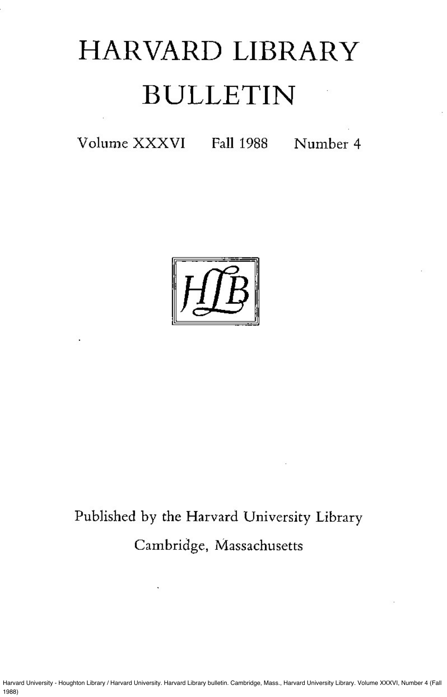Harvard University - Houghton Library / Harvard University. Harvard Library bulletin. Cambridge, Mass., Harvard University Library. Volume XXXVI, Number 4 (Fall 1988)

# HARVARD LIBRARY BULLETIN

Volume XXXVI Fall 1988 Number 4



# Published by the Harvard University Library

Cambridge, Massachusetts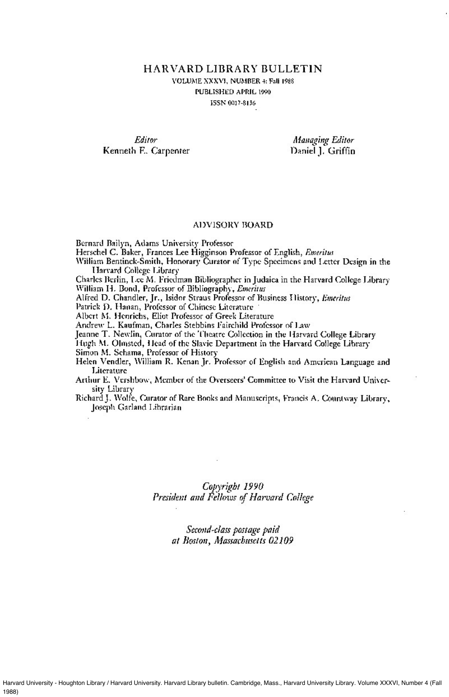**HARVARD LIBRARY BULLETIN** VOLUME XXXVI, NUMBER 4: Fall 1988 PUBLISHED APRIL 1990 ISSN 0017-8136

Editor Kenneth E. Carpenter

**Managing Editor** Daniel J. Griffin

#### ADVISORY BOARD

Bernard Bailyn, Adams University Professor

Herschel C. Baker, Frances Lee Higginson Professor of English, Emeritus

William Bentinck-Smith, Honorary Curator of Type Specimens and Letter Design in the Harvard College Library

Charles Berlin, Lee M. Friedman Bibliographer in Judaica in the Harvard College Library William H. Bond, Professor of Bibliography, Emeritus

Alfred D. Chandler, Jr., Isidor Straus Professor of Business History, Emeritus

Patrick D. Hanan, Professor of Chinese Literature

Albert M. Henrichs, Eliot Professor of Greek Literature

Andrew L. Kaufman, Charles Stebbins Fairchild Professor of Law

Jeanne T. Newlin, Curator of the Theatre Collection in the Harvard College Library

Hugh M. Olmsted, Head of the Slavic Department in the Harvard College Library

Simon M. Schama, Professor of History

- Helen Vendler, William R. Kenan Jr. Professor of English and American Language and Literature
- Arthur E. Vershbow, Member of the Overseers' Committee to Visit the Harvard University Library
- Richard J. Wolfe, Curator of Rare Books and Manuscripts, Francis A. Countway Library, Joseph Garland Librarian

## Copyright 1990 President and Fellows of Harvard College

## Second-class postage paid at Boston, Massachusetts 02109

Harvard University - Houghton Library / Harvard University. Harvard Library bulletin. Cambridge, Mass., Harvard University Library. Volume XXXVI, Number 4 (Fall 1988)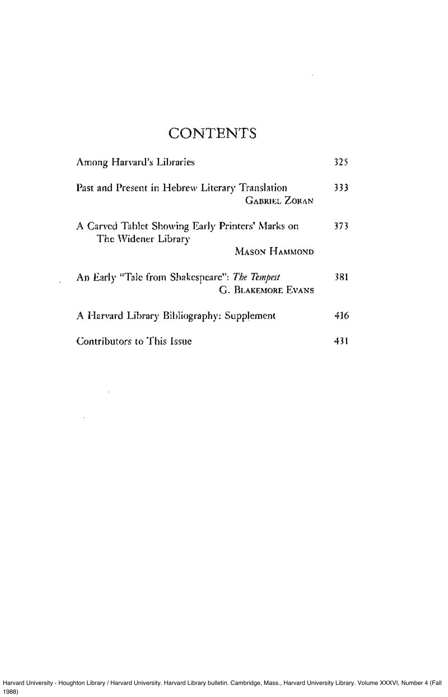# **CONTENTS**

1000 - 1000 - 1000 - 1000 - 1000 - 1000 - 1000 - 1000 - 1000 - 1000 - 1000 - 1000 - 1000 - 1000 - 1000 - 1000<br>1000 - 1000 - 1000 - 1000 - 1000 - 1000 - 1000 - 1000 - 1000 - 1000 - 1000 - 1000 - 1000 - 1000 - 1000 - 1000

| Among Harvard's Libraries                                                                | 325 |
|------------------------------------------------------------------------------------------|-----|
| Past and Present in Hebrew Literary Translation<br><b>GABRIEL ZORAN</b>                  | 333 |
| A Carved Tablet Showing Early Printers' Marks on<br>The Widener Library<br>Mason Hammond | 373 |
| An Early "Tale from Shakespeare": The Tempest<br><b>G. BLAKEMORE EVANS</b>               | 381 |
| A Harvard Library Bibliography: Supplement                                               | 416 |
| Contributors to This Issue                                                               | 431 |

 $\sigma$ 

 $\sim 10^{-10}$ 

 $\sim$  100

Harvard University - Houghton Library / Harvard University. Harvard Library bulletin. Cambridge, Mass., Harvard University Library. Volume XXXVI, Number 4 (Fall 1988)